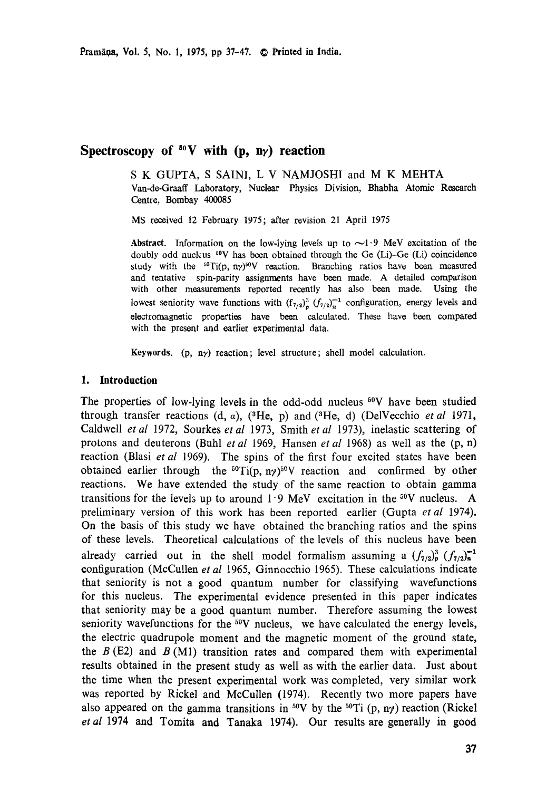# **Spectroscopy of 5°V with (p, ny) reaction**

S K GUPTA, S SAINI, L V NAMJOSHI and M K MEHTA Van-de-Graaff Laboratory, Nuclear Physics Division, Bhabha Atomic Research **Centre,** Bombay 400085

MS received 12 February 1975; after revision 21 April 1975

Abstract. Information on the low-lying levels up to  $\sim 1.9$  MeV excitation of the doubly odd nuckus <sup>50</sup>V has been obtained through the Ge (Li)-Ge (Li) coincidence study with the  ${}^{50}$ Ti(p, ny)<sup>50</sup>V reaction. Branching ratios have been measured and tentative spin-parity assignments have been made. A detailed comparison with other measurements reported recently has also been made. Using the lowest seniority wave functions with  $(f_{7/2})^3$   $(f_{7/2})^{-1}$  configuration, energy levels and electromagnetic properties have been calculated. These have been compared with the present and earlier experimental data.

Keywords. (p, ny) reaction; level structure; shell model calculation.

#### **1. Introduction**

The properties of low-lying levels in the odd-odd nucleus <sup>50</sup>V have been studied through transfer reactions  $(d, a)$ ,  $({}^{3}He, p)$  and  $({}^{3}He, d)$  (DelVecchio *et al* 1971, Caldwell *et al* 1972, Sourkes *et al* 1973, Smith *et al* 1973), inelastic scattering of protons and deuterons (Buhl *et al* 1969, Hansen *et al* 1968) as well as the (p, n) reaction (Blasi *et al* 1969). The spins of the first four excited states have been obtained earlier through the  ${}^{50}Ti(p, n\gamma){}^{50}V$  reaction and confirmed by other reactions. We have extended the study of the same reaction to obtain gamma transitions for the levels up to around  $1.9 \text{ MeV}$  excitation in the <sup>50</sup>V nucleus. A preliminary version of this work has been reported earlier (Gupta *etal* 1974). On the basis of this study we have obtained the branching ratios and the spins of these levels. Theoretical calculations of the levels of this nucleus have been already carried out in the shell model formalism assuming a  $(f_{7/2})_p^3$   $(f_{7/2})_p^{-1}$ configuration (McCullen *et al* 1965, Ginnocchio 1965). These calculations indicate that seniority is not a good quantum number for classifying wavefunctions for this nucleus. The experimental evidence presented in this paper indicates that seniority may be a good quantum number. Therefore assuming the lowest seniority wavefunctions for the  $50V$  nucleus, we have calculated the energy levels, the electric quadrupole moment and the magnetic moment of the ground state, the  $B(E2)$  and  $B(M1)$  transition rates and compared them with experimental results obtained in the present study as well as with the earlier data. Just about the time when the present experimental work was completed, very similar work was reported by Rickel and McCullen (1974). Recently two more papers have also appeared on the gamma transitions in <sup>50</sup>V by the <sup>50</sup>Ti (p, n<sub>2</sub>) reaction (Rickel *etal* 1974 and Tomita and Tanaka 1974). Our results are generally in good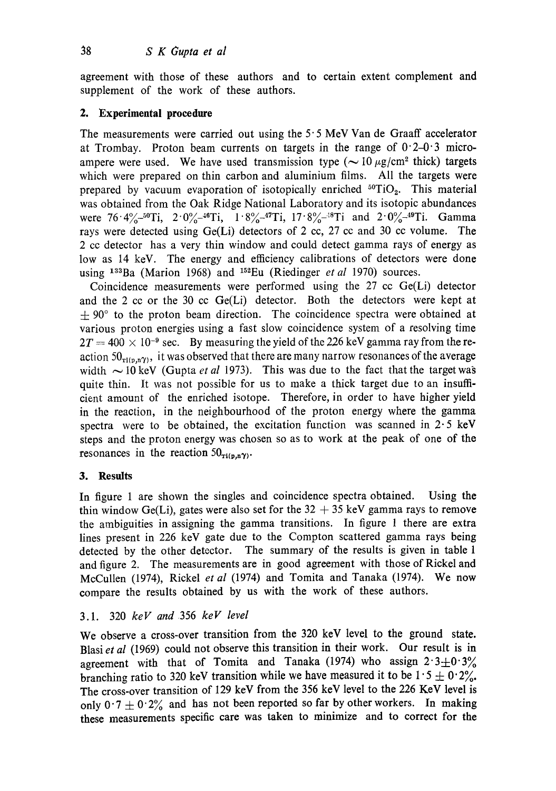agreement with those of these authors and to certain extent complement and supplement of the work of these authors.

# **2. Experimental procedure**

The measurements were carried out using the  $5.5$  MeV Van de Graaff accelerator at Trombay. Proton beam currents on targets in the range of  $0.2-0.3$  microampere were used. We have used transmission type ( $\sim$  10  $\mu$ g/cm<sup>2</sup> thick) targets which were prepared on thin carbon and aluminium films. All the targets were prepared by vacuum evaporation of isotopically enriched *5°Ti02.* This material was obtained from the Oak Ridge National Laboratory and its isotopic abundances were  $76.4\%$ -50Ti,  $2.0\%$ -46Ti,  $1.8\%$ -47Ti,  $17.8\%$ -58Ti and  $2.0\%$ -49Ti. Gamma rays were detected using Ge(Li) detectors of 2 cc, 27 cc and 30 cc volume. The 2 cc detector has a very thin window and could detect gamma rays of energy as low as 14 keV. The energy and efficiency calibrations of detectors were done using <sup>133</sup>Ba (Marion 1968) and <sup>152</sup>Eu (Riedinger *et al* 1970) sources.

Coincidence measurements were performed using the 27 cc Ge(Li) detector and the 2 cc or the 30 cc Ge(Li) detector. Both the detectors were kept at  $\pm$  90 $^{\circ}$  to the proton beam direction. The coincidence spectra were obtained at various proton energies using a fast slow coincidence system of a resolving time  $2T = 400 \times 10^{-9}$  sec. By measuring the yield of the 226 keV gamma ray from the reaction  $50_{\pi i (p,n\gamma)}$ , it was observed that there are many narrow resonances of the average width  $\sim$  10 keV (Gupta *et al* 1973). This was due to the fact that the target was quite thin. It was not possible for us to make a thick target due to an insufficient amount of the enriched isotope. Therefore, in order to have higher yield in the reaction, in the neighbourhood of the proton energy where the gamma spectra were to be obtained, the excitation function was scanned in  $2.5 \text{ keV}$ steps and the proton energy was chosen so as to work at the peak of one of **the**  resonances in the reaction  $50<sub>ri(n,n</sub>y)$ .

# **3. Results**

In figure 1 are shown the singles and coincidence spectra obtained. Using **the**  thin window Ge(Li), gates were also set for the  $32 + 35$  keV gamma rays to remove the ambiguities in assigning the gamma transitions. In figure 1 there are extra lines present in 226 keV gate due to the Compton scattered gamma rays being detected by the other detector. The summary of the results is given in table 1 and figure 2. The measurements are in good agreement with those of Rickel and McCullen (1974), Rickel *et al* (1974) and Tomita and Tanaka (1974). We now compare the results obtained by us with the work of these authors.

# 3.1. 320 *keV and* 356 *keV level*

We observe a cross-over transition from the 320 keV level to the ground state. Blasi *et al* (1969) could not observe this transition in their work. Our result is in agreement with that of Tomita and Tanaka (1974) who assign  $2.3 \pm 0.3\%$ branching ratio to 320 keV transition while we have measured it to be  $1.5 \pm 0.2\%$ . The cross-over transition of 129 keV from the 356 keV level to the 226 KeV level is only  $0.7 \pm 0.2$ % and has not been reported so far by other workers. In making **these** measurements specific care was taken to minimize and to correct for **the**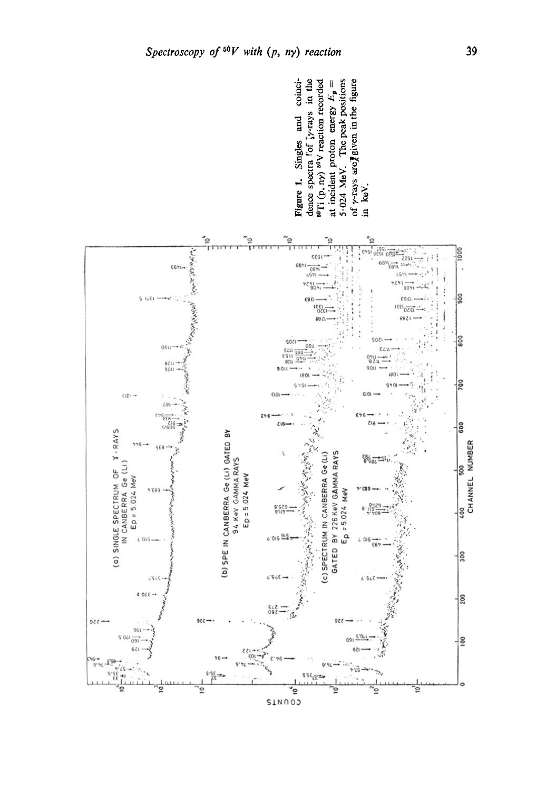coinci-



39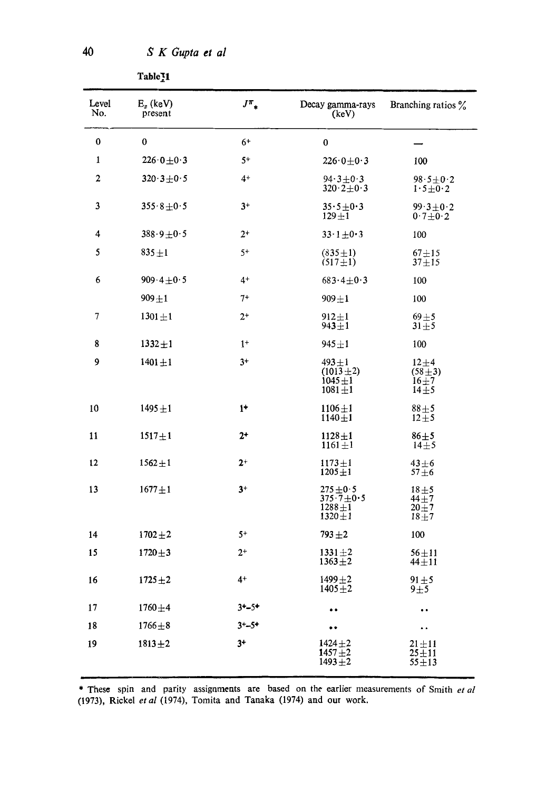| Level<br>No.     | $E_x$ (keV)<br>present    | $J^\pi$ .  | Decay gamma-rays<br>(keV)                                    | Branching ratios %                               |
|------------------|---------------------------|------------|--------------------------------------------------------------|--------------------------------------------------|
| 0                | $\bf{0}$                  | 6+         | $\bf{0}$                                                     |                                                  |
| $\mathbf{1}$     | $226 \cdot 0 + 0 \cdot 3$ | $5+$       | $226\!\cdot\!0\!\pm\!0\!\cdot\!3$                            | 100                                              |
| $\boldsymbol{2}$ | $320.3 \pm 0.5$           | $4+$       | $94.3 \pm 0.3$<br>$320.2 \pm 0.3$                            | $98.5 \pm 0.2$<br>$1.5 \pm 0.2$                  |
| 3                | $355.8 \pm 0.5$           | $3+$       | $35.5 \pm 0.3$<br>$129 + 1$                                  | $99.3 \pm 0.2$<br>$0.7 \pm 0.2$                  |
| 4                | $388.9 + 0.5$             | $2^{+}$    | $33.1 \pm 0.3$                                               | 100                                              |
| 5                | $835 + 1$                 | $5+$       | $(835 \pm 1)$<br>$(517 \pm 1)$                               | $67 + 15$<br>$37 + 15$                           |
| 6                | 909.4 + 0.5               | $4+$       | $683.4 \pm 0.3$                                              | 100                                              |
|                  | $909 + 1$                 | 7+         | $909 + 1$                                                    | 100                                              |
| 7                | $1301 + 1$                | $2^+$      | $912 + 1$<br>$943 + 1$                                       | $69 + 5$<br>$31 \pm 5$                           |
| 8                | $1332 + 1$                | $1+$       | 945±1                                                        | 100                                              |
| 9                | $1401 + 1$                | $3+$       | $493 + 1$<br>$(1013 \pm 2)$<br>$1045 + 1$<br>$1081 + 1$      | $12 + 4$<br>$(58 \pm 3)$<br>$16\pm7$<br>$14\pm5$ |
| 10               | $1495 + 1$                | $1+$       | $1106 \pm 1$<br>$1140 + 1$                                   | $88 + 5$<br>$12 \pm 5$                           |
| 11               | $1517 + 1$                | $2^+$      | $1128 + 1$<br>$1161 + 1$                                     | $86 + 5$<br>$14\pm 5$                            |
| 12               | $1562 + 1$                | $2^+$      | $1173 + 1$<br>$1205 + 1$                                     | $43 + 6$<br>$57 + 6$                             |
| 13               | $1677 + 1$                | $3+$       | $275 + 0.5$<br>375.7 $\pm$ 0.5<br>$1288 + 1$<br>$1320 \pm 1$ | $18 + 5$<br>$44 + 7$<br>$20 + 7$<br>$18 + 7$     |
| 14               | $1702 + 2$                | $5+$       | $793 + 2$                                                    | 100                                              |
| 15               | $1720 + 3$                | $2^+$      | $1331 + 2$<br>$1363 + 2$                                     | $56\pm11$<br>$44 + 11$                           |
| 16               | $1725 + 2$                | $4+$       | $1499 + 2$<br>$1405 + 2$                                     | $91 \pm 5$<br>$9\pm5$                            |
| 17               | $1760 + 4$                | $3 + -5 +$ |                                                              | $\ddot{\phantom{1}}$                             |
| 18               | $1766 + 8$                | $3 + -5+$  | $\bullet$                                                    | $\ddot{\phantom{1}}$                             |
| 19               | $1813 + 2$                | $3+$       | $1424 + 2$<br>$1457 + 2$<br>$1493 + 2$                       | $21 \pm 11$<br>$25 + 11$<br>$55 + 13$            |

\* These spin and parity assignments are based on the earlier measurements of Smith *et al* (1973), Rickel *et al* (1974), Tomita and Tanaka (1974) and our work.

40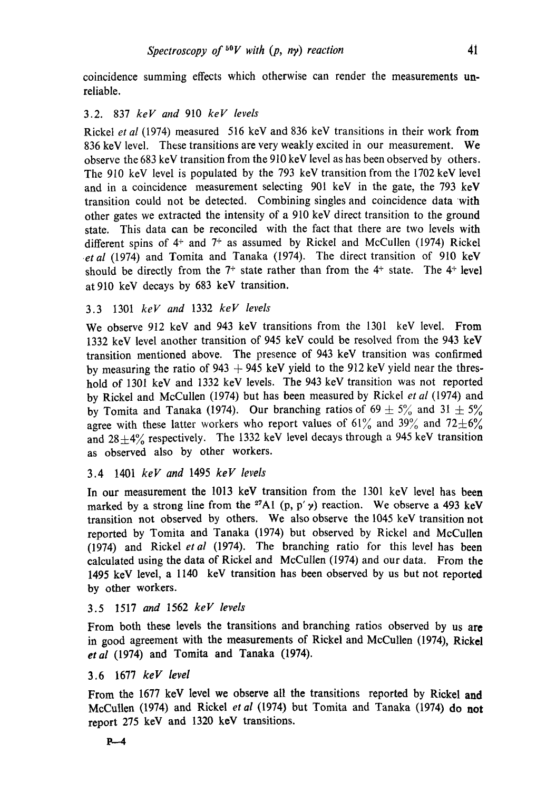coincidence summing effects which otherwise can render the measurements unreliable.

# 3.2. 837 *keV and* 910 *keV levels*

Rickel *et al* (1974) measured 516 keV and 836 keV transitions in their work from 836 keV level. These transitions are very weakly excited in our measurement. We observe the 683 keV transition from the 910 keV level as has been observed by others. The 910 keV level is populated by the 793 keV transition from the 1702 keV level and in a coincidence measurement selecting 901 keV in the gate, the 793 keV transition could not be detected. Combining singles and coincidence data with other gates we extracted the intensity of a 910 keV direct transition to the ground state. This data can be reconciled with the fact that there are two levels with different spins of  $4^+$  and  $7^+$  as assumed by Rickel and McCullen (1974) Rickel *etal* (1974) and Tomita and Tanaka (1974). The direct transition of 910 keV should be directly from the  $7^+$  state rather than from the  $4^+$  state. The  $4^+$  level at 910 key decays by 683 keV transition.

# 3.3 1301 *keV and* 1332 *keV levels*

We observe 912 keV and 943 keV transitions from the 1301 keV level. From 1332 keV level another transition of 945 keV could be resolved from the 943 keV transition mentioned above. The presence of 943 keV transition was confirmed by measuring the ratio of 943  $+$  945 keV yield to the 912 keV yield near the threshold of 1301 keV and 1332 keV levels. The 943 keV transition was not reported by Rickel and McCuUen (1974) but has been measured by Rickel *et al* (1974) and by Tomita and Tanaka (1974). Our branching ratios of  $69 \pm 5\%$  and  $31 \pm 5\%$ agree with these latter workers who report values of 61% and 39% and 72 $\pm$ 6% and  $28\pm4\%$  respectively. The 1332 keV level decays through a 945 keV transition as observed also by other workers.

### 3.4 1401 *keV and* 1495 *keV levels*

In our measurement the 1013 keV transition from the 1301 keV level has been marked by a strong line from the <sup>27</sup>A1 (p, p'  $\gamma$ ) reaction. We observe a 493 keV transition not observed by others. We also observe the 1045 keV transition not reported by Tomita and Tanaka (1974) but observed by Rickel and McCullen (1974) and Rickel *etal* (1974). The branching ratio for this level has been calculated using the data of Rickel and McCullen (1974) and our data. From the 1495 keV level, a 1140 keV transition has been observed by us but not reported by other workers.

# 3.5 1517 *and* 1562 *keV levels*

From both these levels the transitions and branching ratios observed by us are in good agreement with the measurements of Rickel and McCullen (1974), Rickel *etal* (1974) and Tomita and Tanaka (1974).

# 3.6 1677 *keV level*

From the 1677 keV level we observe all the transitions reported by Rickel and McCullen (1974) and Rickel *et al* (1974) but Tomita and Tanaka (1974) do **not**  report 275 keV and 1320 keV transitions.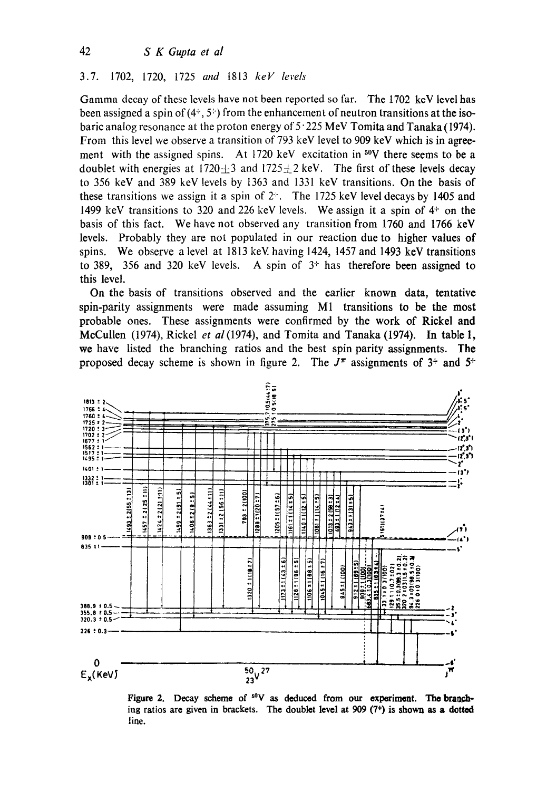#### $3.7.$ 1702, 1720, 1725 and 1813 keV levels

Gamma decay of these levels have not been reported so far. The 1702 keV level has been assigned a spin of  $(4^+, 5^+)$  from the enhancement of neutron transitions at the isobaric analog resonance at the proton energy of  $5.225$  MeV Tomita and Tanaka (1974). From this level we observe a transition of 793 keV level to 909 keV which is in agreement with the assigned spins. At 1720 keV excitation in <sup>50</sup>V there seems to be a doublet with energies at  $1720 \pm 3$  and  $1725 \pm 2$  keV. The first of these levels decay to 356 keV and 389 keV levels by 1363 and 1331 keV transitions. On the basis of these transitions we assign it a spin of  $2<sup>+</sup>$ . The 1725 keV level decays by 1405 and 1499 keV transitions to 320 and 226 keV levels. We assign it a spin of  $4<sup>+</sup>$  on the basis of this fact. We have not observed any transition from 1760 and 1766 keV levels. Probably they are not populated in our reaction due to higher values of spins. We observe a level at 1813 keV having 1424, 1457 and 1493 keV transitions to 389, 356 and 320 keV levels. A spin of  $3<sup>+</sup>$  has therefore been assigned to this level.

On the basis of transitions observed and the earlier known data, tentative spin-parity assignments were made assuming M1 transitions to be the most probable ones. These assignments were confirmed by the work of Rickel and McCullen (1974), Rickel et al (1974), and Tomita and Tanaka (1974). In table 1, we have listed the branching ratios and the best spin parity assignments. The proposed decay scheme is shown in figure 2. The  $J^{\pi}$  assignments of 3<sup>+</sup> and 5<sup>+</sup>



Figure 2. Decay scheme of <sup>50</sup>V as deduced from our experiment. The branching ratios are given in brackets. The doublet level at 909  $(7^+)$  is shown as a dotted line.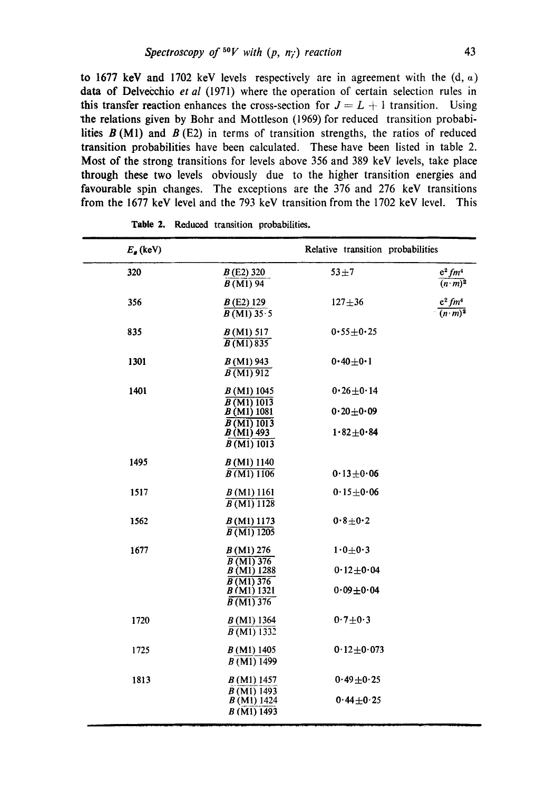to 1677 keV and 1702 keV levels respectively are in agreement with the  $(d, a)$ data of Delvecchio *et al* (1971) where the operation of certain selection rules in this transfer reaction enhances the cross-section for  $J = L + 1$  transition. Using the relations given by Bohr and Mottleson (1969) for reduced transition probabilities  $B(M1)$  and  $B(E2)$  in terms of transition strengths, the ratios of reduced transition probabilities have been calculated. These have been listed in table 2. Most of the strong transitions for levels above 356 and 389 keV levels, take place through these two levels obviously due to the higher transition energies and favourable spin changes. The exceptions are the 376 and 276 keV transitions from the 1677 keV level and the 793 keV transition from the 1702 keV level. This

| $E_{\bullet}$ (keV) |                                          | Relative transition probabilities |                                                     |
|---------------------|------------------------------------------|-----------------------------------|-----------------------------------------------------|
| 320                 | $B(E2)$ 320<br>$\overline{B(M1)}$ 94     | $53 + 7$                          | $e^2$ fm <sup>4</sup><br>$\overline{(n \cdot m)^2}$ |
| 356                 | B(E2)129<br>$\overline{B(M1)35.5}$       | $127 + 36$                        | $e^2$ fm <sup>4</sup><br>$\overline{(n\cdot m)^2}$  |
| 835                 | B(M1) 517<br>$\overline{B(M1)835}$       | $0.55 + 0.25$                     |                                                     |
| 1301                | $B(M1)$ 943<br>$\overline{B(M1)912}$     | $0.40 + 0.1$                      |                                                     |
| 1401                | B(M1) 1045                               | $0.26 + 0.14$                     |                                                     |
|                     | $\overline{B(M1)1013}$<br>B(M1) 1081     | $0.20 + 0.09$                     |                                                     |
|                     | B(M1)1013<br>$B(M1)$ 493<br>B(M1) 1013   | $1.82 + 0.84$                     |                                                     |
| 1495                | $B(M1)$ 1140<br>B(M1) 1106               | $0.13 + 0.06$                     |                                                     |
| 1517                | B(M1) 1161<br>B(M1)1128                  | $0.15 \pm 0.06$                   |                                                     |
| 1562                | B(M1) 1173<br>$\overline{B(M1) 1205}$    | $0.8 + 0.2$                       |                                                     |
| 1677                | B(M1) 276<br>$B(M1)$ 376                 | $1.0 \pm 0.3$                     |                                                     |
|                     | B(M1) 1288<br>$\overline{B(M1)376}$      | $0.12 \pm 0.04$                   |                                                     |
|                     | B(M1) 1321<br>$\overline{B(M1)}$ 376     | $0.09 + 0.04$                     |                                                     |
| 1720                | $B(M1)$ 1364<br>$\overline{B}$ (M1) 1332 | $0.7 + 0.3$                       |                                                     |
| 1725                | B(M1) 1405<br>B(M1) 1499                 | $0.12 + 0.073$                    |                                                     |
| 1813                | $B(M1)$ 1457<br>$B(M1)$ 1493             | $0.49 + 0.25$                     |                                                     |
|                     | B(M1) 1424<br>B(M1)1493                  | $0.44 + 0.25$                     |                                                     |

Table 2. Reduced transition probabilities,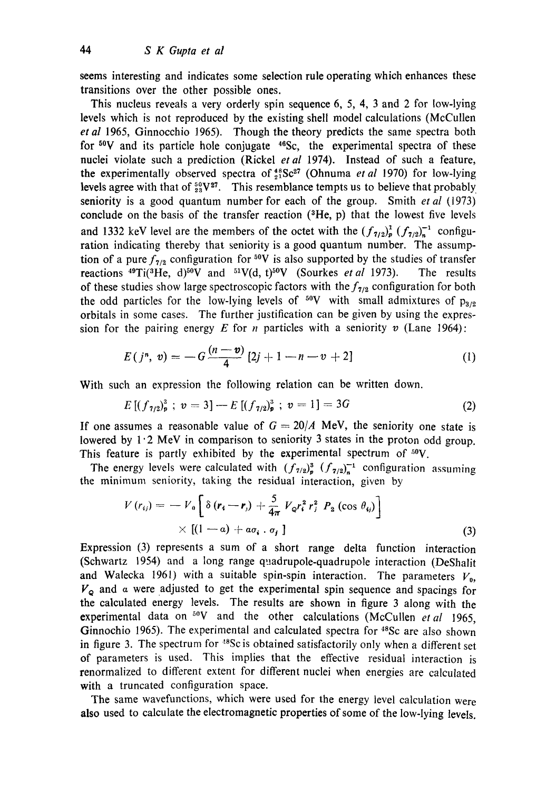seems interesting and indicates some selection rule operating which enhances these transitions over the other possible ones.

This nucleus reveals a very orderly spin sequence 6, 5, 4, 3 and 2 for low-lying levels which is not reproduced by the existing shell model calculations (McCullen *et al* 1965, Ginnocchio 1965). Though the theory predicts the same spectra both for  $50V$  and its particle hole conjugate  $46Sc$ , the experimental spectra of these nuclei violate such a prediction (Rickel *etal* 1974). Instead of such a feature, the experimentally observed spectra of  $^{48}_{21}$ Sc<sup>27</sup> (Ohnuma *et al* 1970) for low-lying levels agree with that of  $^{50}_{23}V^{27}$ . This resemblance tempts us to believe that probably seniority is a good quantum number for each of the group. Smith *et al* (1973) conclude on the basis of the transfer reaction  $(3He, p)$  that the lowest five levels and 1332 keV level are the members of the octet with the  $(f_{7/2})^1_p$   $(f_{7/2})^{-1}_n$  configuration indicating thereby that seniority is a good quantum number. The assumption of a pure  $f_{7/2}$  configuration for <sup>50</sup>V is also supported by the studies of transfer reactions <sup>49</sup>Ti(<sup>3</sup>He, d)<sup>50</sup>V and <sup>51</sup>V(d, t)<sup>50</sup>V (Sourkes *et al* 1973). The results of these studies show large spectroscopic factors with the  $f_{7/2}$  configuration for both the odd particles for the low-lying levels of  $50V$  with small admixtures of  $p_{3/2}$ orbitals in some cases. The further justification can be given by using the expression for the pairing energy E for *n* particles with a seniority v (Lane 1964):

$$
E(j^{n}, v) = -G\frac{(n-v)}{4}[2j+1-n-v+2]
$$
 (1)

With such an expression the following relation can be written down.

$$
E\left[\left(f_{7/2}\right)^3_p; \ v=3\right]-E\left[\left(f_{7/2}\right)^3_p; \ v=1\right]=3G\tag{2}
$$

If one assumes a reasonable value of  $G = 20/A$  MeV, the seniority one state is lowered by  $1.2$  MeV in comparison to seniority 3 states in the proton odd group. This feature is partly exhibited by the experimental spectrum of  $^{50}V$ .

The energy levels were calculated with  $(f_{7/2})^3$   $(f_{7/2})^{-1}$  configuration assuming the minimum seniority, taking the residual interaction, given by

$$
V(r_{ij}) = -V_0 \left[ \delta (r_i - r_j) + \frac{5}{4\pi} V_{\varphi} r_i^2 r_j^2 P_2 (\cos \theta_{ij}) \right] \times \left[ (1 - a) + a\sigma_i \cdot \sigma_j \right]
$$
\n(3)

Expression (3) represents a sum of a short range delta function interaction (Schwartz 1954) and a long range quadrupole-quadrupole interaction (DeShalit and Walecka 1961) with a suitable spin-spin interaction. The parameters  $V_{0}$ ,  $V_{\Omega}$  and  $\alpha$  were adjusted to get the experimental spin sequence and spacings for the calculated energy levels. The results are shown in figure 3 along with the experimental data on <sup>50</sup>V and the other calculations (McCullen *et al* 1965, Ginnochio 1965). The experimental and calculated spectra for <sup>48</sup>Sc are also shown in figure 3. The spectrum for  $^{48}$ Sc is obtained satisfactorily only when a different set of parameters is used. This implies that the effective residual interaction is renormalized to different extent for different nuclei when energies are calculated with a truncated configuration space.

The same wavefunctions, which were used for the energy level calculation were also used to calculate the electromagnetic properties of some of the low-lying levels.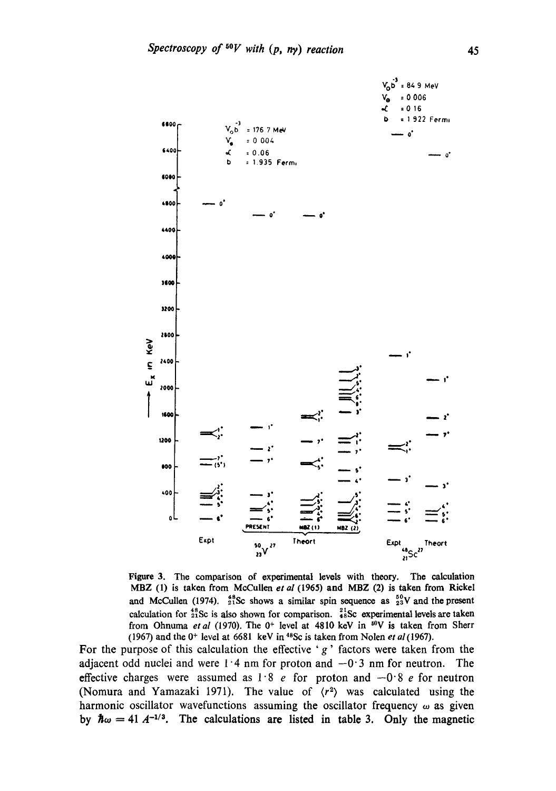

**Figure** 3. The **comparison of oxpcrimontal levels with theory. The calculation MBZ (1) is taken from McCullen** *et al* **(1965) and MBZ (2) is taken from Rickel**  and McCullen (1974).  $^{48}_{21}$ Sc shows a similar spin sequence as  $^{50}_{23}$ V and the present calculation for <sup>48</sup><sub>21</sub>Sc is also shown for comparison. <sup>21</sup><sub>48</sub>Sc experimental levels are taken from Ohnuma *et al* (1970). The 0<sup>+</sup> level at 4810 keV in <sup>50</sup>V is taken from Sherr (1967) and the  $0^+$  level at  $6681$  keV in <sup>48</sup>Sc is taken from Nolen *et al* (1967).

For the purpose of this calculation the effective 'g' factors were taken from the adjacent odd nuclei and were  $1.4$  nm for proton and  $-0.3$  nm for neutron. The **effective charges were assumed as**  $1.8$  **e for proton and**  $-0.8$  **e for neutron** (Nomura and Yamazaki 1971). The value of  $\langle r^2 \rangle$  was calculated using the harmonic oscillator wavefunctions assuming the oscillator frequency  $\omega$  as given by  $\hbar\omega = 41 A^{-1/3}$ . The calculations are listed in table 3. Only the magnetic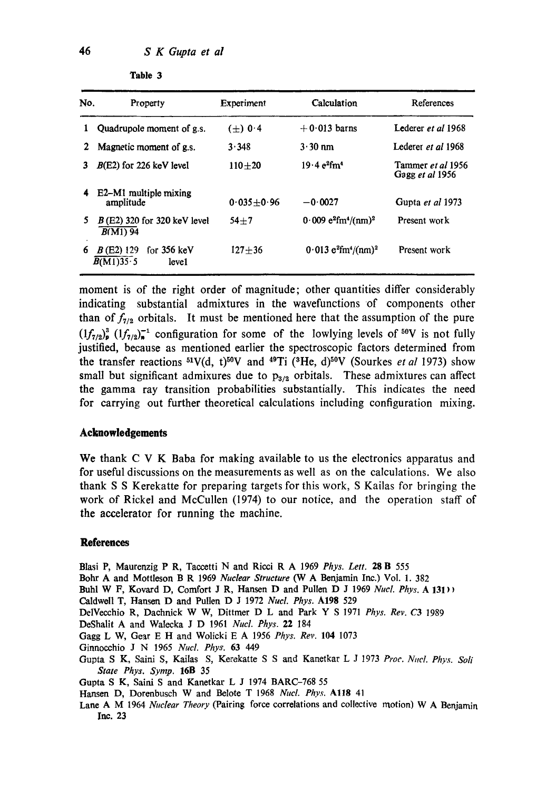| No. | Property                                                   | Experiment     | Calculation                                               | References                                  |
|-----|------------------------------------------------------------|----------------|-----------------------------------------------------------|---------------------------------------------|
|     | Quadrupole moment of g.s.                                  | $(\pm)$ 0.4    | $+0.013$ barns                                            | Lederer et al 1968                          |
| 2   | Magnetic moment of g.s.                                    | 3.348          | $3.30 \text{ nm}$                                         | Lederer et al 1968                          |
|     | $B(E2)$ for 226 keV level                                  | $110 + 20$     | $19.4 e^{2}$ fm <sup>4</sup>                              | Tammer <i>et al</i> 1956<br>Gagg et al 1956 |
| 4   | E2–M1 multiple mixing<br>amplitude                         | $0.035 + 0.96$ | $-0.0027$                                                 | Gupta et al 1973                            |
| 5   | $B$ (E2) 320 for 320 keV level<br>$B(M1)$ 94               | $54 + 7$       | $0.009 e^{2}$ fm <sup>4</sup> /(nm) <sup>2</sup>          | Present work                                |
| 6   | for $356 \text{ keV}$<br>$B(E2)$ 129<br>B(M1)35.5<br>leve1 | $127 + 36$     | $0.013$ e <sup>2</sup> fm <sup>4</sup> /(nm) <sup>2</sup> | Present work                                |

**Table 3** 

moment is of the right order of magnitude; other quantities differ considerably indicating substantial admixtures in the wavefunctions of components other than of  $f_{7/2}$  orbitals. It must be mentioned here that the assumption of the pure  $(1f_{7/2})^3_{\rm p}$   $(1f_{7/2})^{-1}_{\rm s}$  configuration for some of the lowlying levels of <sup>50</sup>V is not fully justified, because as mentioned earlier the spectroscopic factors determined from the transfer reactions <sup>51</sup>V(d, t)<sup>50</sup>V and <sup>49</sup>Ti (<sup>3</sup>He, d)<sup>50</sup>V (Sourkes *et al* 1973) show small but significant admixures due to  $p_{3/2}$  orbitals. These admixtures can affect the gamma ray transition probabilities substantially. This indicates the need for carrying out further theoretical calculations including configuration mixing.

#### **Acknowledgements**

We thank C V K Baba for making available to us the electronics apparatus and for useful discussions on the measurements as well as on the calculations. We also thank S S Kerekatte for preparing targets for this work, S Kailas for bringing the work of Rickel and McCullen (1974) to our notice, and the operation staff of the accelerator for running the machine.

#### **References**

Blasi P, Maurenzig P R, Taccetti N and Ricci R A 1969 *Phys. Lett.* 28 B 555

- Bohr A and Mottleson B R 1969 *Nuclear Structure* (W A Benjamin Inc.) Vol. 1. 382
- Buhl W F, Kovard D, Comfort J R, Hansen D and Pullen D J 1969 *Nucl. Phys. A* 131<sup>1</sup>)
- Caldwell T, Hanson D and Pullen D J 1972 *NucL Phys.* A198 529
- DelVecchio R, Daehnick W W, Dittmer D L and Park Y S 1971 *Phys. Rev. C3* 1989
- DeShalit A and Walecka J D 1961 *Nucl. Phys.* 22 184
- Gagg L W, Gear E H and Wolieki E A 1956 *Phys. Rev.* 104 1073
- Ginnocchio J N 1965 *Nucl. Phys.* 63 449
- Gupta S K, Saini S, Kailas S, Kerekatte S S and Kanetkar L J 1973 Proc. Nucl. Phys. Soli *State Phys. Symp.* 16B 35
- Gupta S K, Saini S and Kanetkar L J 1974 BARC-768 55
- Hansen D, Dorenbusch W and Belote T 1968 Nucl. Phys. A118 41
- Lane A M 1964 *Nuclear Theory* (Pairing force correlations and collective motion) W A Benjamin Inc. 23